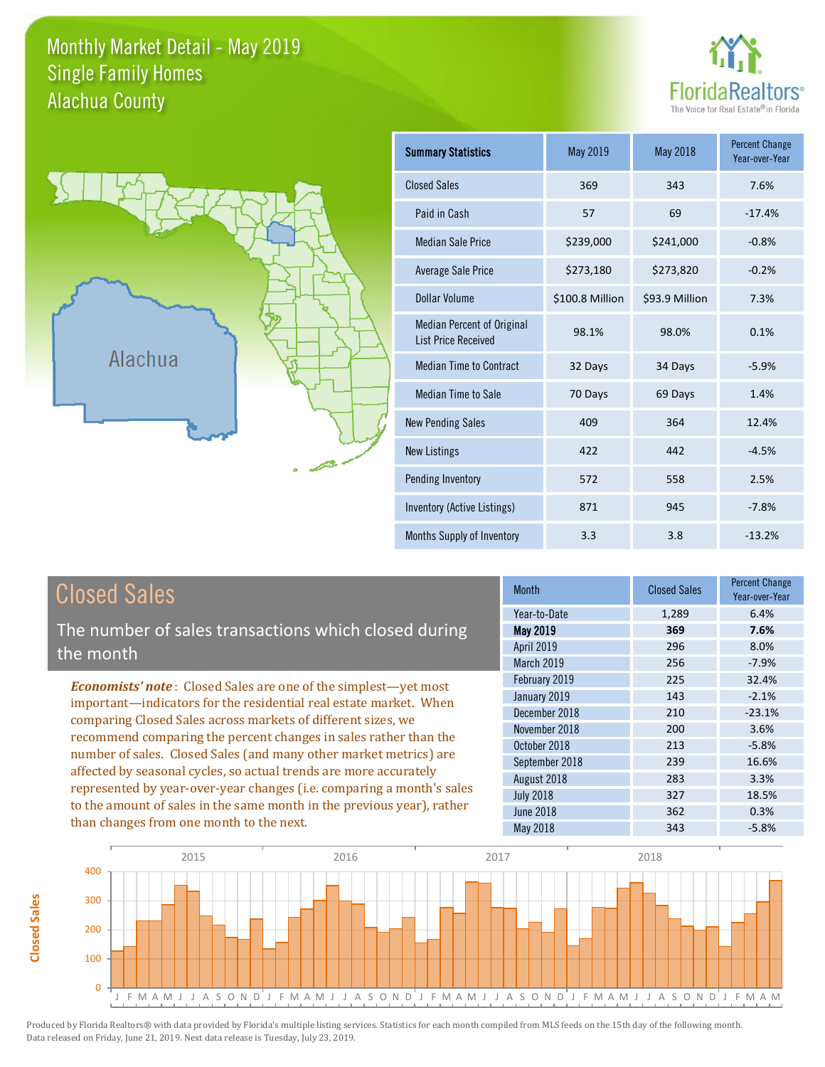### Monthly Market Detail - May 2019 Alachua County Single Family Homes





**Closed Sales**

**Closed Sales** 

| <b>Summary Statistics</b>                                       | May 2019        | <b>May 2018</b> | <b>Percent Change</b><br>Year-over-Year |
|-----------------------------------------------------------------|-----------------|-----------------|-----------------------------------------|
| <b>Closed Sales</b>                                             | 369             | 343             | 7.6%                                    |
| Paid in Cash                                                    | 57              | 69              | $-17.4%$                                |
| <b>Median Sale Price</b>                                        | \$239,000       | \$241,000       | $-0.8%$                                 |
| <b>Average Sale Price</b>                                       | \$273,180       | \$273,820       | $-0.2%$                                 |
| Dollar Volume                                                   | \$100.8 Million | \$93.9 Million  | 7.3%                                    |
| <b>Median Percent of Original</b><br><b>List Price Received</b> | 98.1%           | 98.0%           | 0.1%                                    |
| <b>Median Time to Contract</b>                                  | 32 Days         | 34 Days         | $-5.9%$                                 |
| <b>Median Time to Sale</b>                                      | 70 Days         | 69 Days         | 1.4%                                    |
| <b>New Pending Sales</b>                                        | 409             | 364             | 12.4%                                   |
| <b>New Listings</b>                                             | 422             | 442             | $-4.5%$                                 |
| Pending Inventory                                               | 572             | 558             | 2.5%                                    |
| Inventory (Active Listings)                                     | 871             | 945             | $-7.8%$                                 |
| Months Supply of Inventory                                      | 3.3             | 3.8             | $-13.2%$                                |

| <b>Closed Sales</b>                                                                                                                                                                                                                                                        | <b>Month</b>      | <b>Closed Sales</b> | <b>Percent Change</b><br>Year-over-Year |
|----------------------------------------------------------------------------------------------------------------------------------------------------------------------------------------------------------------------------------------------------------------------------|-------------------|---------------------|-----------------------------------------|
|                                                                                                                                                                                                                                                                            | Year-to-Date      | 1,289               | 6.4%                                    |
| The number of sales transactions which closed during                                                                                                                                                                                                                       | May 2019          | 369                 | 7.6%                                    |
| the month                                                                                                                                                                                                                                                                  | <b>April 2019</b> | 296                 | 8.0%                                    |
|                                                                                                                                                                                                                                                                            | <b>March 2019</b> | 256                 | $-7.9%$                                 |
| <b>Economists' note:</b> Closed Sales are one of the simplest—yet most                                                                                                                                                                                                     | February 2019     | 225                 | 32.4%                                   |
| important—indicators for the residential real estate market. When                                                                                                                                                                                                          | January 2019      | 143                 | $-2.1%$                                 |
| comparing Closed Sales across markets of different sizes, we<br>recommend comparing the percent changes in sales rather than the<br>number of sales. Closed Sales (and many other market metrics) are<br>affected by seasonal cycles, so actual trends are more accurately | December 2018     | 210                 | $-23.1%$                                |
|                                                                                                                                                                                                                                                                            | November 2018     | 200                 | 3.6%                                    |
|                                                                                                                                                                                                                                                                            | October 2018      | 213                 | $-5.8%$                                 |
|                                                                                                                                                                                                                                                                            | September 2018    | 239                 | 16.6%                                   |
|                                                                                                                                                                                                                                                                            | August 2018       | 283                 | 3.3%                                    |
| represented by year-over-year changes (i.e. comparing a month's sales                                                                                                                                                                                                      | <b>July 2018</b>  | 327                 | 18.5%                                   |
| to the amount of sales in the same month in the previous year), rather                                                                                                                                                                                                     | <b>June 2018</b>  | 362                 | 0.3%                                    |
| than changes from one month to the next.                                                                                                                                                                                                                                   | May 2018          | 343                 | $-5.8%$                                 |

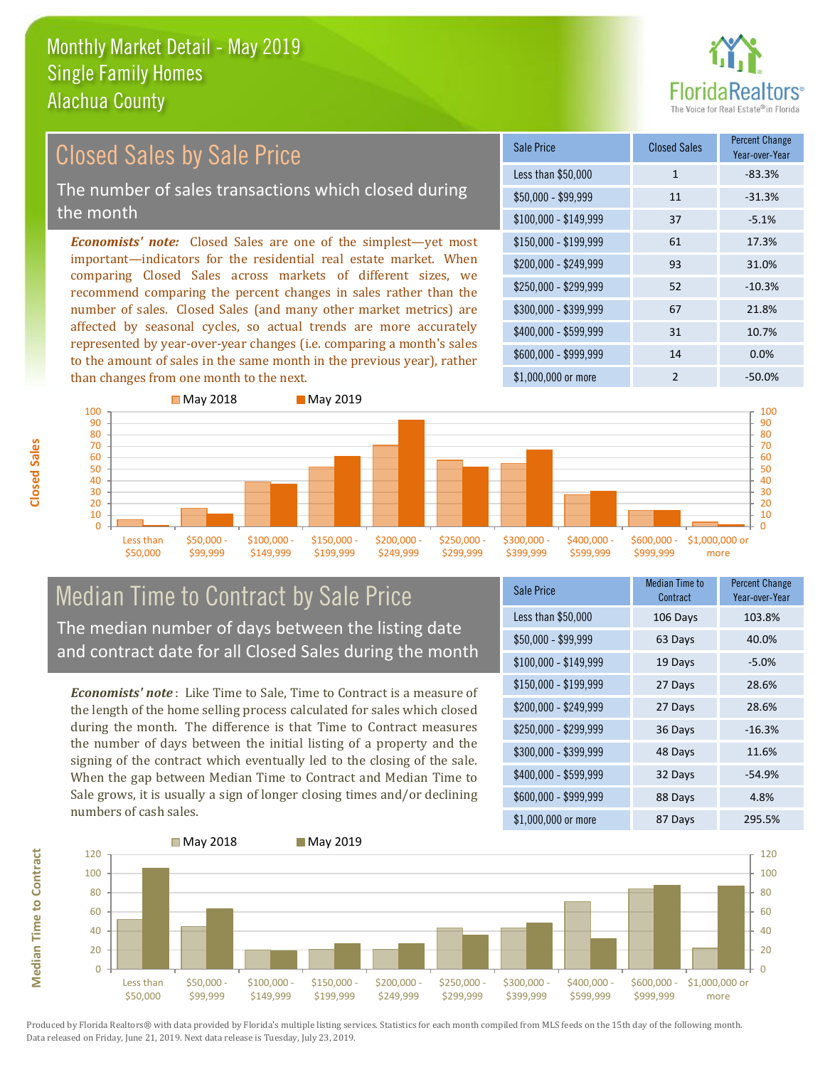

#### \$100,000 - \$149,999 37 -5.1% Sale Price Closed Sales Percent Change Year-over-Year Less than \$50,000 1 1 -83.3%  $$50,000 - $99,999$  11  $-31.3\%$ \$150,000 - \$199,999 61 17.3% \$200,000 - \$249,999 93 31.0% \$400,000 - \$599,999 31 10.7% \$600,000 - \$999,999 14 0.0% *Economists' note:* Closed Sales are one of the simplest—yet most important—indicators for the residential real estate market. When comparing Closed Sales across markets of different sizes, we recommend comparing the percent changes in sales rather than the number of sales. Closed Sales (and many other market metrics) are affected by seasonal cycles, so actual trends are more accurately represented by year-over-year changes (i.e. comparing a month's sales to the amount of sales in the same month in the previous year), rather than changes from one month to the next. \$1,000,000 or more 2 -50.0%  $$250,000 - $299,999$  52 -10.3% \$300,000 - \$399,999 67 21.8% Closed Sales by Sale Price The number of sales transactions which closed during the month



### Median Time to Contract by Sale Price The median number of days between the listing date and contract date for all Closed Sales during the month

*Economists' note* : Like Time to Sale, Time to Contract is a measure of the length of the home selling process calculated for sales which closed during the month. The difference is that Time to Contract measures the number of days between the initial listing of a property and the signing of the contract which eventually led to the closing of the sale. When the gap between Median Time to Contract and Median Time to Sale grows, it is usually a sign of longer closing times and/or declining numbers of cash sales.

| <b>Sale Price</b>     | Median Time to<br>Contract | Percent Change<br>Year-over-Year |
|-----------------------|----------------------------|----------------------------------|
| Less than \$50,000    | 106 Days                   | 103.8%                           |
| $$50,000 - $99,999$   | 63 Days                    | 40.0%                            |
| $$100,000 - $149,999$ | 19 Days                    | $-5.0%$                          |
| $$150,000 - $199,999$ | 27 Days                    | 28.6%                            |
| \$200,000 - \$249,999 | 27 Days                    | 28.6%                            |
| \$250,000 - \$299,999 | 36 Days                    | $-16.3%$                         |
| \$300,000 - \$399,999 | 48 Days                    | 11.6%                            |
| \$400,000 - \$599,999 | 32 Days                    | $-54.9%$                         |
| \$600,000 - \$999,999 | 88 Days                    | 4.8%                             |
| \$1,000,000 or more   | 87 Days                    | 295.5%                           |



**Closed Sales**

**Median Time to Contract Median Time to Contract**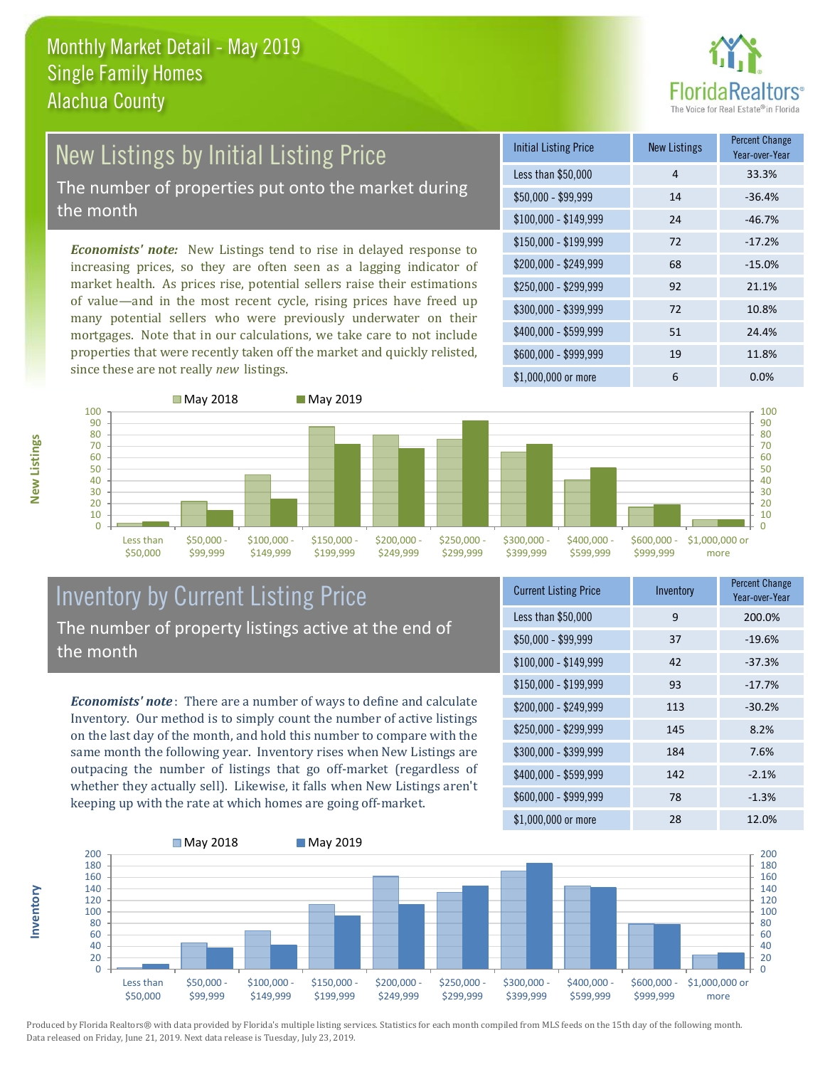

## New Listings by Initial Listing Price The number of properties put onto the market during

the month

*Economists' note:* New Listings tend to rise in delayed response to increasing prices, so they are often seen as a lagging indicator of market health. As prices rise, potential sellers raise their estimations of value—and in the most recent cycle, rising prices have freed up many potential sellers who were previously underwater on their mortgages. Note that in our calculations, we take care to not include properties that were recently taken off the market and quickly relisted, since these are not really *new* listings.

| <b>Initial Listing Price</b> | <b>New Listings</b> | <b>Percent Change</b><br>Year-over-Year |
|------------------------------|---------------------|-----------------------------------------|
| Less than \$50,000           | 4                   | 33.3%                                   |
| $$50,000 - $99,999$          | 14                  | $-36.4%$                                |
| $$100,000 - $149,999$        | 24                  | $-46.7%$                                |
| $$150,000 - $199,999$        | 72                  | $-17.2%$                                |
| \$200,000 - \$249,999        | 68                  | $-15.0%$                                |
| \$250,000 - \$299,999        | 92                  | 21.1%                                   |
| \$300,000 - \$399,999        | 72                  | 10.8%                                   |
| \$400,000 - \$599,999        | 51                  | 24.4%                                   |
| \$600,000 - \$999,999        | 19                  | 11.8%                                   |
| \$1,000,000 or more          | 6                   | $0.0\%$                                 |



### Inventory by Current Listing Price The number of property listings active at the end of the month

*Economists' note* : There are a number of ways to define and calculate Inventory. Our method is to simply count the number of active listings on the last day of the month, and hold this number to compare with the same month the following year. Inventory rises when New Listings are outpacing the number of listings that go off-market (regardless of whether they actually sell). Likewise, it falls when New Listings aren't keeping up with the rate at which homes are going off-market.

| <b>Current Listing Price</b> | Inventory | <b>Percent Change</b><br>Year-over-Year |
|------------------------------|-----------|-----------------------------------------|
| Less than \$50,000           | 9         | 200.0%                                  |
| $$50,000 - $99,999$          | 37        | $-19.6%$                                |
| $$100,000 - $149,999$        | 42        | $-37.3%$                                |
| $$150,000 - $199,999$        | 93        | $-17.7%$                                |
| \$200,000 - \$249,999        | 113       | $-30.2%$                                |
| \$250,000 - \$299,999        | 145       | 8.2%                                    |
| \$300,000 - \$399,999        | 184       | 7.6%                                    |
| \$400,000 - \$599,999        | 142       | $-2.1%$                                 |
| \$600,000 - \$999,999        | 78        | $-1.3%$                                 |
| \$1,000,000 or more          | 28        | 12.0%                                   |



Produced by Florida Realtors® with data provided by Florida's multiple listing services. Statistics for each month compiled from MLS feeds on the 15th day of the following month. Data released on Friday, June 21, 2019. Next data release is Tuesday, July 23, 2019.

**Inventory**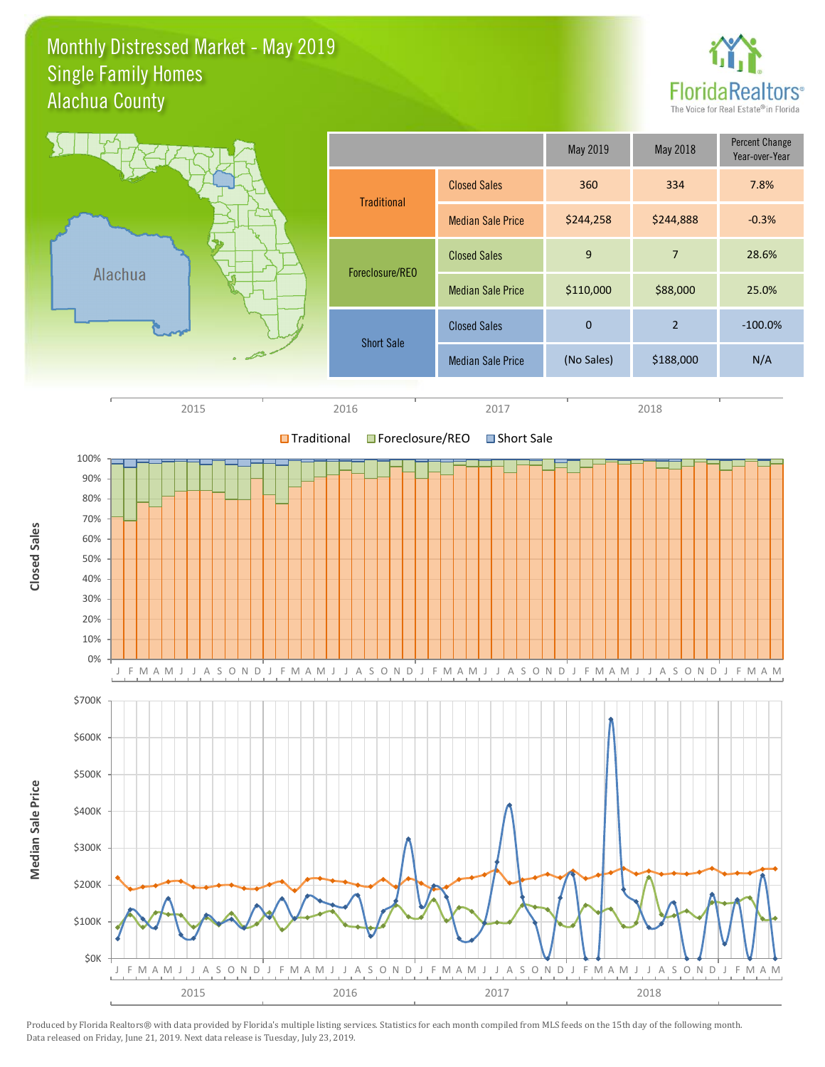### Monthly Distressed Market - May 2019 Alachua County Single Family Homes



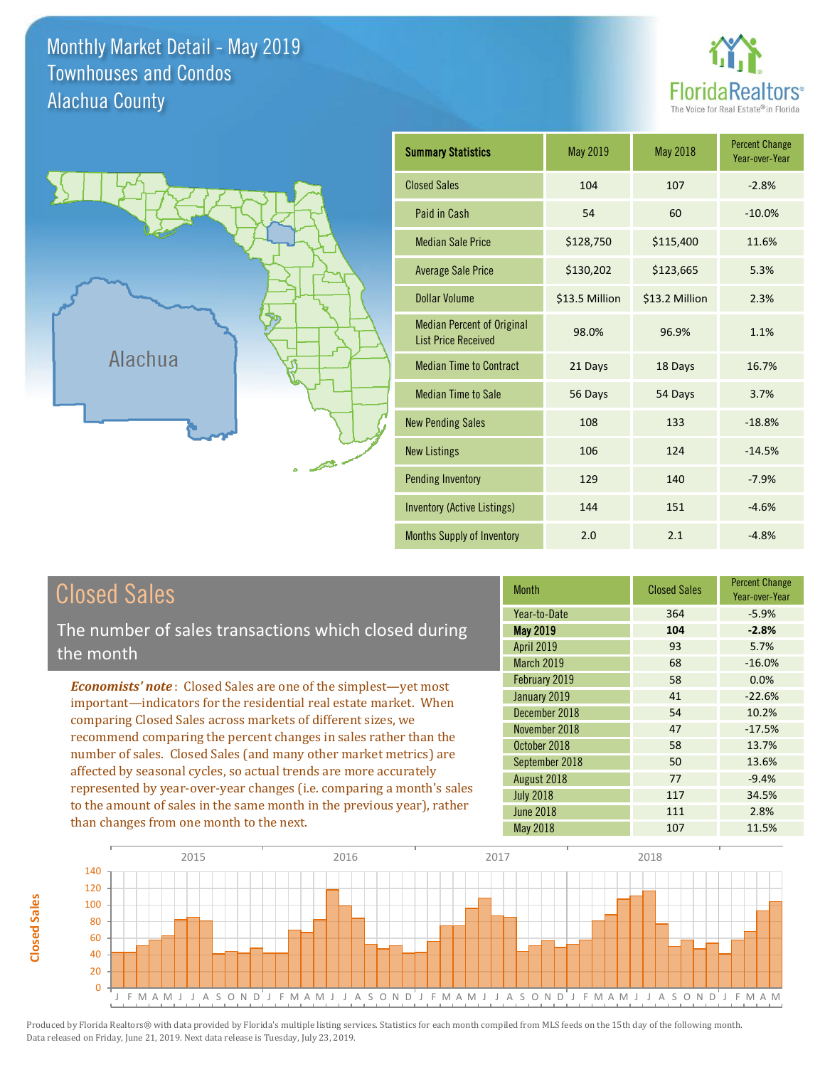Monthly Market Detail - May 2019 Alachua County Townhouses and Condos





| <b>Summary Statistics</b>                                       | May 2019       | <b>May 2018</b> | <b>Percent Change</b><br>Year-over-Year |
|-----------------------------------------------------------------|----------------|-----------------|-----------------------------------------|
| <b>Closed Sales</b>                                             | 104            | 107             | $-2.8%$                                 |
| Paid in Cash                                                    | 54             | 60              | $-10.0%$                                |
| <b>Median Sale Price</b>                                        | \$128,750      | \$115,400       | 11.6%                                   |
| <b>Average Sale Price</b>                                       | \$130,202      | \$123,665       | 5.3%                                    |
| Dollar Volume                                                   | \$13.5 Million | \$13.2 Million  | 2.3%                                    |
| <b>Median Percent of Original</b><br><b>List Price Received</b> | 98.0%          | 96.9%           | 1.1%                                    |
| <b>Median Time to Contract</b>                                  | 21 Days        | 18 Days         | 16.7%                                   |
| <b>Median Time to Sale</b>                                      | 56 Days        | 54 Days         | 3.7%                                    |
| <b>New Pending Sales</b>                                        | 108            | 133             | $-18.8%$                                |
| <b>New Listings</b>                                             | 106            | 124             | $-14.5%$                                |
| <b>Pending Inventory</b>                                        | 129            | 140             | $-7.9%$                                 |
| <b>Inventory (Active Listings)</b>                              | 144            | 151             | $-4.6%$                                 |
| <b>Months Supply of Inventory</b>                               | 2.0            | 2.1             | $-4.8%$                                 |

| <b>Closed Sales</b> |  |
|---------------------|--|
|                     |  |

The number of sales transactions which closed during the month

*Economists' note* : Closed Sales are one of the simplest—yet most important—indicators for the residential real estate market. When comparing Closed Sales across markets of different sizes, we recommend comparing the percent changes in sales rather than the number of sales. Closed Sales (and many other market metrics) are affected by seasonal cycles, so actual trends are more accurately represented by year-over-year changes (i.e. comparing a month's sales to the amount of sales in the same month in the previous year), rather than changes from one month to the next.

| <b>Month</b>      | <b>Closed Sales</b> | <b>Percent Change</b><br>Year-over-Year |
|-------------------|---------------------|-----------------------------------------|
| Year-to-Date      | 364                 | $-5.9%$                                 |
| <b>May 2019</b>   | 104                 | $-2.8%$                                 |
| <b>April 2019</b> | 93                  | 5.7%                                    |
| March 2019        | 68                  | $-16.0%$                                |
| February 2019     | 58                  | 0.0%                                    |
| January 2019      | 41                  | $-22.6%$                                |
| December 2018     | 54                  | 10.2%                                   |
| November 2018     | 47                  | $-17.5%$                                |
| October 2018      | 58                  | 13.7%                                   |
| September 2018    | 50                  | 13.6%                                   |
| August 2018       | 77                  | $-9.4%$                                 |
| <b>July 2018</b>  | 117                 | 34.5%                                   |
| <b>June 2018</b>  | 111                 | 2.8%                                    |
| <b>May 2018</b>   | 107                 | 11.5%                                   |

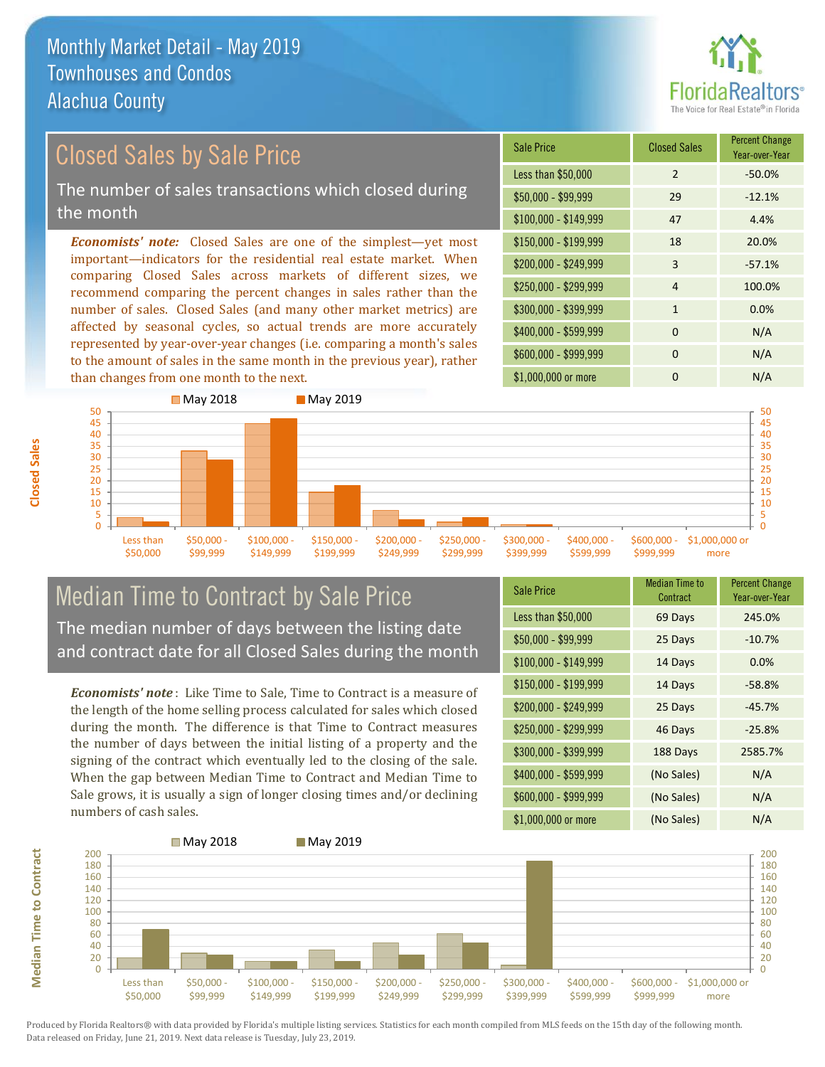

# Closed Sales by Sale Price

The number of sales transactions which closed during the month

*Economists' note:* Closed Sales are one of the simplest—yet most important—indicators for the residential real estate market. When comparing Closed Sales across markets of different sizes, we recommend comparing the percent changes in sales rather than the number of sales. Closed Sales (and many other market metrics) are affected by seasonal cycles, so actual trends are more accurately represented by year-over-year changes (i.e. comparing a month's sales to the amount of sales in the same month in the previous year), rather than changes from one month to the next.

| <b>Sale Price</b>     | <b>Closed Sales</b> | <b>Percent Change</b><br>Year-over-Year |
|-----------------------|---------------------|-----------------------------------------|
| Less than \$50,000    | $\mathcal{P}$       | $-50.0%$                                |
| $$50,000 - $99,999$   | 29                  | $-12.1%$                                |
| $$100,000 - $149,999$ | 47                  | 4.4%                                    |
| \$150,000 - \$199,999 | 18                  | 20.0%                                   |
| \$200,000 - \$249,999 | 3                   | $-57.1%$                                |
| \$250,000 - \$299,999 | 4                   | 100.0%                                  |
| \$300,000 - \$399,999 | $\mathbf{1}$        | 0.0%                                    |
| \$400,000 - \$599,999 | $\Omega$            | N/A                                     |
| \$600,000 - \$999,999 | $\Omega$            | N/A                                     |
| \$1,000,000 or more   | 0                   | N/A                                     |



### Median Time to Contract by Sale Price The median number of days between the listing date and contract date for all Closed Sales during the month

*Economists' note* : Like Time to Sale, Time to Contract is a measure of the length of the home selling process calculated for sales which closed during the month. The difference is that Time to Contract measures the number of days between the initial listing of a property and the signing of the contract which eventually led to the closing of the sale. When the gap between Median Time to Contract and Median Time to Sale grows, it is usually a sign of longer closing times and/or declining numbers of cash sales.

| <b>Sale Price</b>     | Median Time to<br>Contract | <b>Percent Change</b><br>Year-over-Year |
|-----------------------|----------------------------|-----------------------------------------|
| Less than \$50,000    | 69 Days                    | 245.0%                                  |
| $$50,000 - $99,999$   | 25 Days                    | $-10.7%$                                |
| $$100,000 - $149,999$ | 14 Days                    | 0.0%                                    |
| $$150,000 - $199,999$ | 14 Days                    | $-58.8%$                                |
| \$200,000 - \$249,999 | 25 Days                    | $-45.7%$                                |
| \$250,000 - \$299,999 | 46 Days                    | $-25.8%$                                |
| \$300,000 - \$399,999 | 188 Days                   | 2585.7%                                 |
| \$400,000 - \$599,999 | (No Sales)                 | N/A                                     |
| \$600,000 - \$999,999 | (No Sales)                 | N/A                                     |
| \$1,000,000 or more   | (No Sales)                 | N/A                                     |



Produced by Florida Realtors® with data provided by Florida's multiple listing services. Statistics for each month compiled from MLS feeds on the 15th day of the following month. Data released on Friday, June 21, 2019. Next data release is Tuesday, July 23, 2019.

**Median Time to Contract**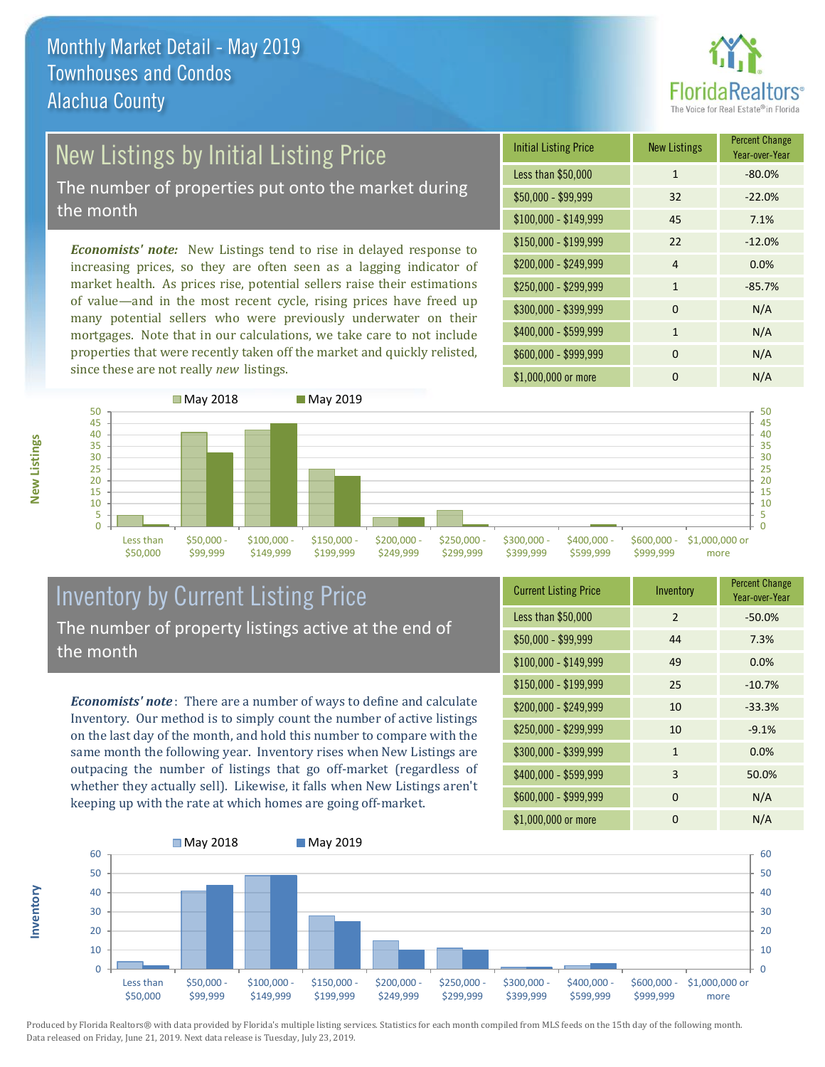

# New Listings by Initial Listing Price

The number of properties put onto the market during the month

*Economists' note:* New Listings tend to rise in delayed response to increasing prices, so they are often seen as a lagging indicator of market health. As prices rise, potential sellers raise their estimations of value—and in the most recent cycle, rising prices have freed up many potential sellers who were previously underwater on their mortgages. Note that in our calculations, we take care to not include properties that were recently taken off the market and quickly relisted, since these are not really *new* listings.

| <b>Initial Listing Price</b> | <b>New Listings</b> | <b>Percent Change</b><br>Year-over-Year |
|------------------------------|---------------------|-----------------------------------------|
| Less than \$50,000           | $\mathbf{1}$        | $-80.0%$                                |
| $$50,000 - $99,999$          | 32                  | $-22.0%$                                |
| $$100,000 - $149,999$        | 45                  | 7.1%                                    |
| $$150,000 - $199,999$        | 22                  | $-12.0%$                                |
| \$200,000 - \$249,999        | $\overline{4}$      | 0.0%                                    |
| \$250,000 - \$299,999        | $\mathbf{1}$        | $-85.7%$                                |
| \$300,000 - \$399,999        | $\Omega$            | N/A                                     |
| \$400,000 - \$599,999        | $\mathbf{1}$        | N/A                                     |
| \$600,000 - \$999,999        | $\Omega$            | N/A                                     |
| \$1,000,000 or more          | n                   | N/A                                     |



### Inventory by Current Listing Price The number of property listings active at the end of the month

*Economists' note* : There are a number of ways to define and calculate Inventory. Our method is to simply count the number of active listings on the last day of the month, and hold this number to compare with the same month the following year. Inventory rises when New Listings are outpacing the number of listings that go off-market (regardless of whether they actually sell). Likewise, it falls when New Listings aren't keeping up with the rate at which homes are going off-market.

| <b>Current Listing Price</b> | Inventory      | <b>Percent Change</b><br>Year-over-Year |
|------------------------------|----------------|-----------------------------------------|
| Less than \$50,000           | $\mathfrak{D}$ | $-50.0%$                                |
| $$50,000 - $99,999$          | 44             | 7.3%                                    |
| $$100,000 - $149,999$        | 49             | 0.0%                                    |
| $$150,000 - $199,999$        | 25             | $-10.7%$                                |
| \$200,000 - \$249,999        | 10             | $-33.3%$                                |
| \$250,000 - \$299,999        | 10             | $-9.1%$                                 |
| \$300,000 - \$399,999        | $\mathbf{1}$   | 0.0%                                    |
| \$400,000 - \$599,999        | 3              | 50.0%                                   |
| \$600,000 - \$999,999        | $\Omega$       | N/A                                     |
| \$1,000,000 or more          | 0              | N/A                                     |



Produced by Florida Realtors® with data provided by Florida's multiple listing services. Statistics for each month compiled from MLS feeds on the 15th day of the following month. Data released on Friday, June 21, 2019. Next data release is Tuesday, July 23, 2019.

**Inventory**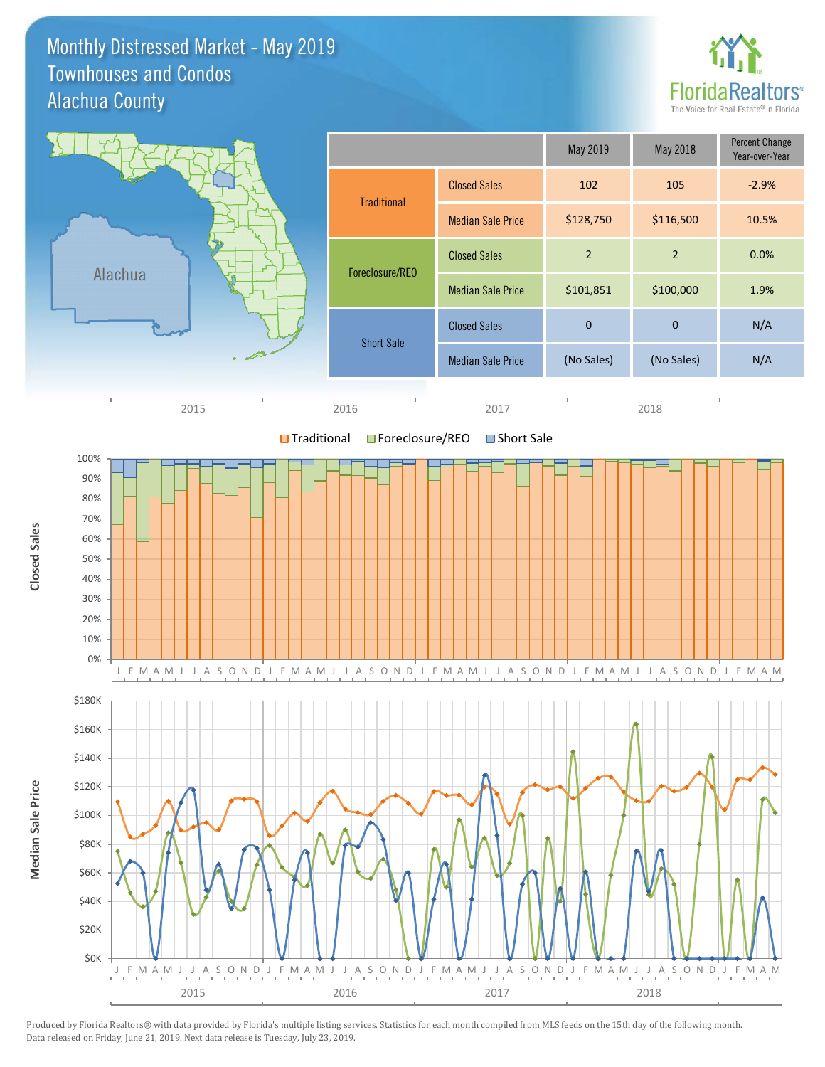Monthly Distressed Market - May 2019 Alachua County Townhouses and Condos



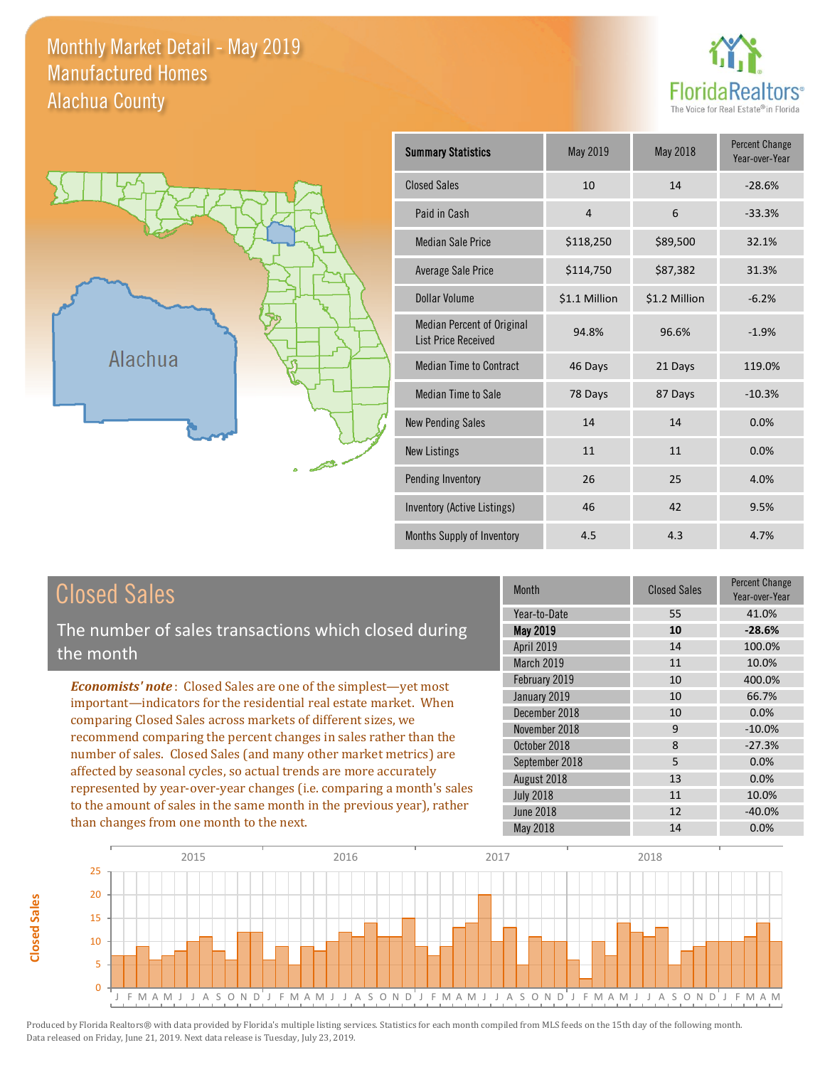Monthly Market Detail - May 2019 Alachua County Manufactured Homes

**Closed Sales**

**Closed Sales** 





| <b>Summary Statistics</b>                                       | May 2019       | <b>May 2018</b> | <b>Percent Change</b><br>Year-over-Year |
|-----------------------------------------------------------------|----------------|-----------------|-----------------------------------------|
| <b>Closed Sales</b>                                             | 10             | 14              | $-28.6%$                                |
| Paid in Cash                                                    | $\overline{4}$ | 6               | $-33.3%$                                |
| <b>Median Sale Price</b>                                        | \$118,250      | \$89,500        | 32.1%                                   |
| <b>Average Sale Price</b>                                       | \$114,750      | \$87,382        | 31.3%                                   |
| Dollar Volume                                                   | \$1.1 Million  | \$1.2 Million   | $-6.2%$                                 |
| <b>Median Percent of Original</b><br><b>List Price Received</b> | 94.8%          | 96.6%           | $-1.9%$                                 |
| <b>Median Time to Contract</b>                                  | 46 Days        | 21 Days         | 119.0%                                  |
| <b>Median Time to Sale</b>                                      | 78 Days        | 87 Days         | $-10.3%$                                |
| <b>New Pending Sales</b>                                        | 14             | 14              | 0.0%                                    |
| <b>New Listings</b>                                             | 11             | 11              | 0.0%                                    |
| Pending Inventory                                               | 26             | 25              | 4.0%                                    |
| Inventory (Active Listings)                                     | 46             | 42              | 9.5%                                    |
| Months Supply of Inventory                                      | 4.5            | 4.3             | 4.7%                                    |

| <b>Closed Sales</b>                                                                                                                                                                                         | <b>Month</b>                                                       | <b>Closed Sales</b>  | <b>Percent Change</b><br>Year-over-Year |
|-------------------------------------------------------------------------------------------------------------------------------------------------------------------------------------------------------------|--------------------------------------------------------------------|----------------------|-----------------------------------------|
| The number of sales transactions which closed during<br>the month                                                                                                                                           | Year-to-Date<br><b>May 2019</b><br><b>April 2019</b><br>March 2019 | 55<br>10<br>14<br>11 | 41.0%<br>$-28.6%$<br>100.0%<br>10.0%    |
| <b>Economists' note:</b> Closed Sales are one of the simplest—yet most<br>important—indicators for the residential real estate market. When<br>comparing Closed Sales across markets of different sizes, we | February 2019<br>January 2019<br>December 2018<br>November 2018    | 10<br>10<br>10<br>9  | 400.0%<br>66.7%<br>0.0%<br>$-10.0%$     |
| recommend comparing the percent changes in sales rather than the<br>number of sales. Closed Sales (and many other market metrics) are<br>affected by seasonal cycles, so actual trends are more accurately  | October 2018<br>September 2018<br>August 2018                      | 8<br>5.<br>13        | $-27.3%$<br>0.0%<br>0.0%                |
| represented by year-over-year changes (i.e. comparing a month's sales<br>to the amount of sales in the same month in the previous year), rather<br>than changes from one month to the next.                 | <b>July 2018</b><br><b>June 2018</b><br>May 2018                   | 11<br>12<br>14       | 10.0%<br>$-40.0%$<br>0.0%               |

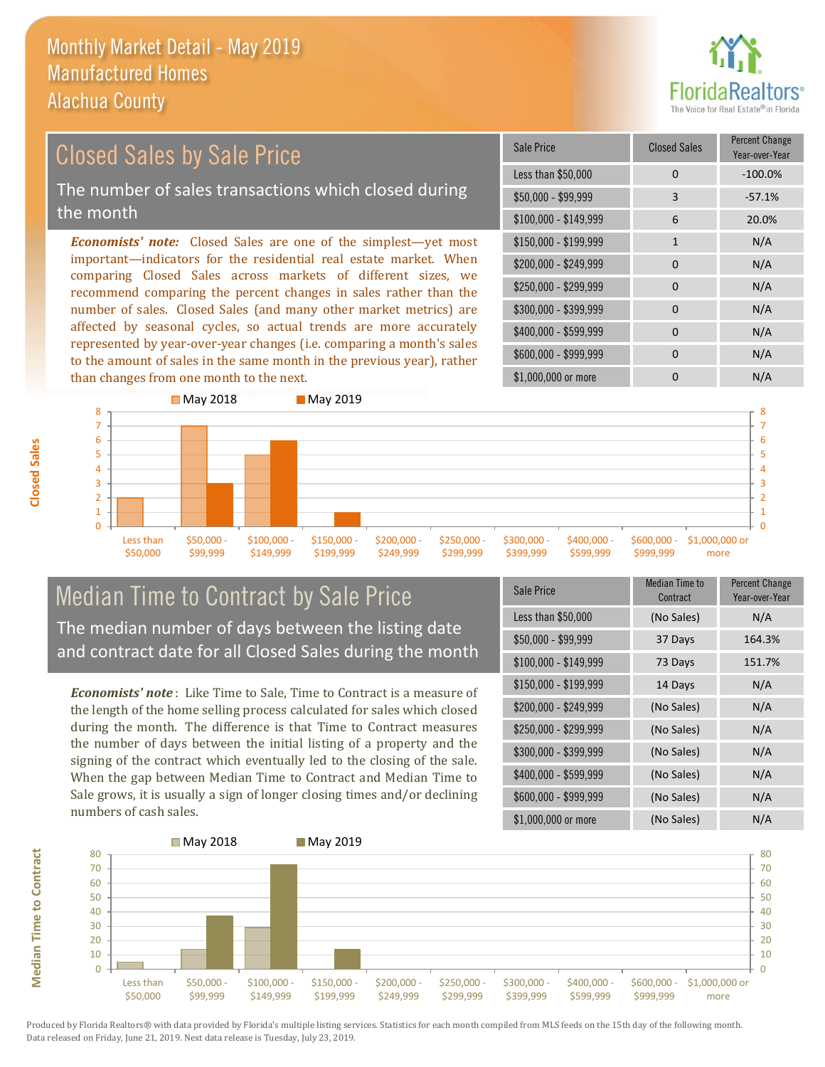than changes from one month to the next.



### \$100,000 - \$149,999 6 20.0% Sale Price Closed Sales Percent Change Year-over-Year Less than \$50,000 0 0 -100.0% \$50,000 - \$99,999 3 -57.1% \$150,000 - \$199,999 1 1 N/A  $$200,000 - $249,999$  0 N/A  $$400,000 - $599,999$  0 N/A *Economists' note:* Closed Sales are one of the simplest—yet most important—indicators for the residential real estate market. When comparing Closed Sales across markets of different sizes, we recommend comparing the percent changes in sales rather than the number of sales. Closed Sales (and many other market metrics) are affected by seasonal cycles, so actual trends are more accurately represented by year-over-year changes (i.e. comparing a month's sales \$250,000 - \$299,999 0 0 N/A \$300,000 - \$399,999 0 0 N/A Closed Sales by Sale Price The number of sales transactions which closed during the month



### Median Time to Contract by Sale Price The median number of days between the listing date and contract date for all Closed Sales during the month

to the amount of sales in the same month in the previous year), rather

**May 2018** May 2019

*Economists' note* : Like Time to Sale, Time to Contract is a measure of the length of the home selling process calculated for sales which closed during the month. The difference is that Time to Contract measures the number of days between the initial listing of a property and the signing of the contract which eventually led to the closing of the sale. When the gap between Median Time to Contract and Median Time to Sale grows, it is usually a sign of longer closing times and/or declining numbers of cash sales.

| Sale Price            | Median Time to<br>Contract | <b>Percent Change</b><br>Year-over-Year |
|-----------------------|----------------------------|-----------------------------------------|
| Less than \$50,000    | (No Sales)                 | N/A                                     |
| \$50,000 - \$99,999   | 37 Days                    | 164.3%                                  |
| $$100,000 - $149,999$ | 73 Days                    | 151.7%                                  |
| $$150,000 - $199,999$ | 14 Days                    | N/A                                     |
| \$200,000 - \$249,999 | (No Sales)                 | N/A                                     |
| \$250,000 - \$299,999 | (No Sales)                 | N/A                                     |
| \$300,000 - \$399,999 | (No Sales)                 | N/A                                     |
| \$400,000 - \$599,999 | (No Sales)                 | N/A                                     |
| \$600,000 - \$999,999 | (No Sales)                 | N/A                                     |
| \$1,000,000 or more   | (No Sales)                 | N/A                                     |

more

\$600,000 - \$999,999 0 0 N/A

\$1,000,000 or more 0 0 N/A



**Closed Sales**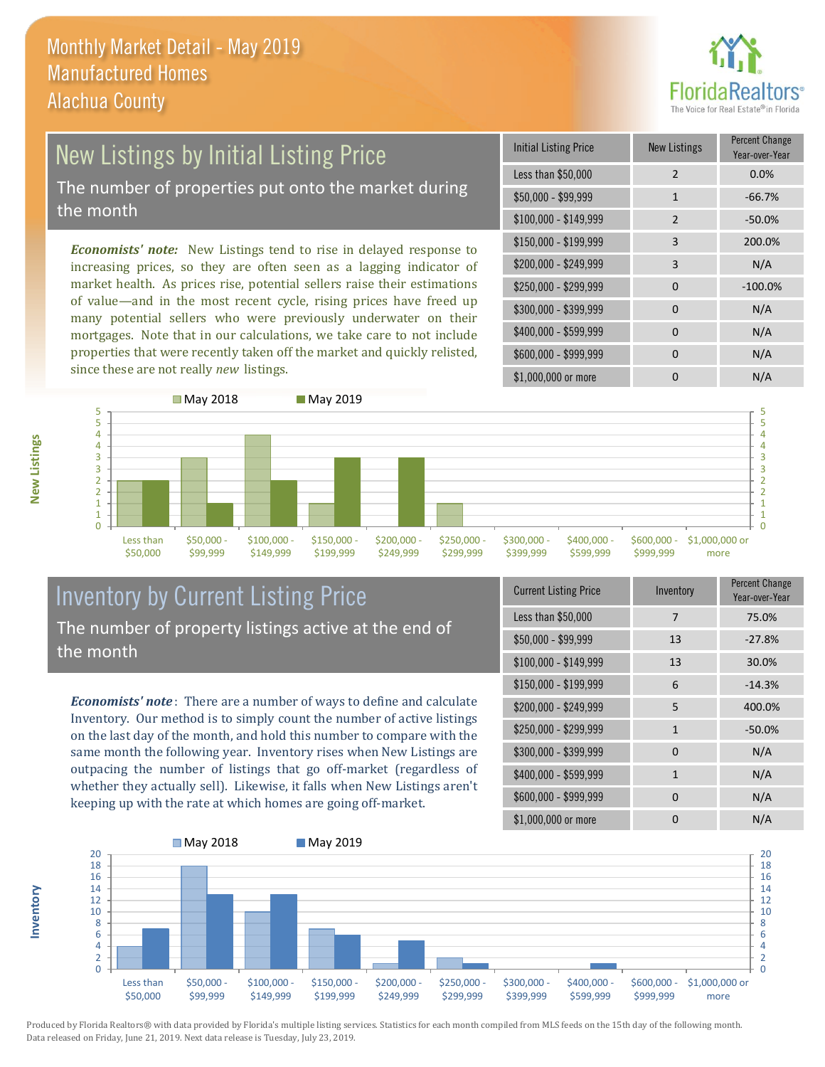

### New Listings by Initial Listing Price The number of properties put onto the market during the month

*Economists' note:* New Listings tend to rise in delayed response to increasing prices, so they are often seen as a lagging indicator of market health. As prices rise, potential sellers raise their estimations of value—and in the most recent cycle, rising prices have freed up many potential sellers who were previously underwater on their mortgages. Note that in our calculations, we take care to not include properties that were recently taken off the market and quickly relisted, since these are not really *new* listings.

| <b>Initial Listing Price</b> | <b>New Listings</b> | <b>Percent Change</b><br>Year-over-Year |
|------------------------------|---------------------|-----------------------------------------|
| Less than \$50,000           | $\overline{2}$      | 0.0%                                    |
| $$50,000 - $99,999$          | $\mathbf{1}$        | $-66.7%$                                |
| $$100,000 - $149,999$        | $\overline{2}$      | $-50.0%$                                |
| $$150,000 - $199,999$        | 3                   | 200.0%                                  |
| \$200,000 - \$249,999        | 3                   | N/A                                     |
| \$250,000 - \$299,999        | 0                   | $-100.0%$                               |
| \$300,000 - \$399,999        | 0                   | N/A                                     |
| \$400,000 - \$599,999        | 0                   | N/A                                     |
| \$600,000 - \$999,999        | $\Omega$            | N/A                                     |
| \$1,000,000 or more          | n                   | N/A                                     |



### Inventory by Current Listing Price The number of property listings active at the end of the month

*Economists' note* : There are a number of ways to define and calculate Inventory. Our method is to simply count the number of active listings on the last day of the month, and hold this number to compare with the same month the following year. Inventory rises when New Listings are outpacing the number of listings that go off-market (regardless of whether they actually sell). Likewise, it falls when New Listings aren't keeping up with the rate at which homes are going off-market.

| <b>Current Listing Price</b> | Inventory    | Percent Change<br>Year-over-Year |
|------------------------------|--------------|----------------------------------|
| Less than \$50,000           | 7            | 75.0%                            |
| $$50,000 - $99,999$          | 13           | $-27.8%$                         |
| $$100,000 - $149,999$        | 13           | 30.0%                            |
| $$150,000 - $199,999$        | 6            | $-14.3%$                         |
| \$200,000 - \$249,999        | 5            | 400.0%                           |
| \$250,000 - \$299,999        | $\mathbf{1}$ | $-50.0%$                         |
| \$300,000 - \$399,999        | $\Omega$     | N/A                              |
| \$400,000 - \$599,999        | $\mathbf{1}$ | N/A                              |
| \$600,000 - \$999,999        | <sup>0</sup> | N/A                              |
| \$1,000,000 or more          | ŋ            | N/A                              |



**New Listings**

**Inventory**